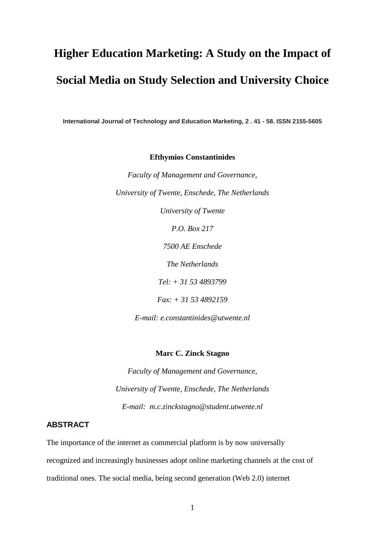# **Higher Education Marketing: A Study on the Impact of Social Media on Study Selection and University Choice**

**International Journal of Technology and Education Marketing, 2 . 41 - 58. ISSN 2155-5605**

**Efthymios Constantinides**

*Faculty of Management and Governance, University of Twente, Enschede, The Netherlands*

*University of Twente*

*P.O. Box 217*

*7500 AE Enschede* 

*The Netherlands*

*Tel: + 31 53 4893799*

*Fax: + 31 53 4892159*

*E-mail: e.constantinides@utwente.nl*

#### **Marc C. Zinck Stagno**

*Faculty of Management and Governance, University of Twente, Enschede, The Netherlands E-mail: m.c.zinckstagno@student.utwente.nl*

# **ABSTRACT**

The importance of the internet as commercial platform is by now universally recognized and increasingly businesses adopt online marketing channels at the cost of traditional ones. The social media, being second generation (Web 2.0) internet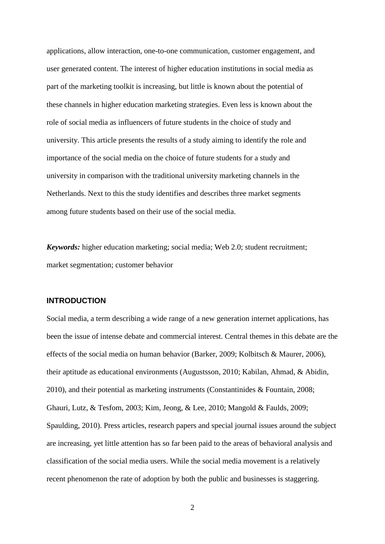applications, allow interaction, one-to-one communication, customer engagement, and user generated content. The interest of higher education institutions in social media as part of the marketing toolkit is increasing, but little is known about the potential of these channels in higher education marketing strategies. Even less is known about the role of social media as influencers of future students in the choice of study and university. This article presents the results of a study aiming to identify the role and importance of the social media on the choice of future students for a study and university in comparison with the traditional university marketing channels in the Netherlands. Next to this the study identifies and describes three market segments among future students based on their use of the social media.

*Keywords:* higher education marketing; social media; Web 2.0; student recruitment; market segmentation; customer behavior

# **INTRODUCTION**

Social media, a term describing a wide range of a new generation internet applications, has been the issue of intense debate and commercial interest. Central themes in this debate are the effects of the social media on human behavior [\(Barker, 2009;](#page-23-0) [Kolbitsch & Maurer, 2006\)](#page-27-0), their aptitude as educational environments [\(Augustsson, 2010;](#page-23-1) [Kabilan, Ahmad, & Abidin,](#page-26-0)  [2010\)](#page-26-0), and their potential as marketing instruments [\(Constantinides & Fountain, 2008;](#page-25-0) [Ghauri, Lutz, & Tesfom, 2003;](#page-25-1) [Kim, Jeong, & Lee, 2010;](#page-27-1) [Mangold & Faulds, 2009;](#page-27-2) [Spaulding, 2010\)](#page-29-0). Press articles, research papers and special journal issues around the subject are increasing, yet little attention has so far been paid to the areas of behavioral analysis and classification of the social media users. While the social media movement is a relatively recent phenomenon the rate of adoption by both the public and businesses is staggering.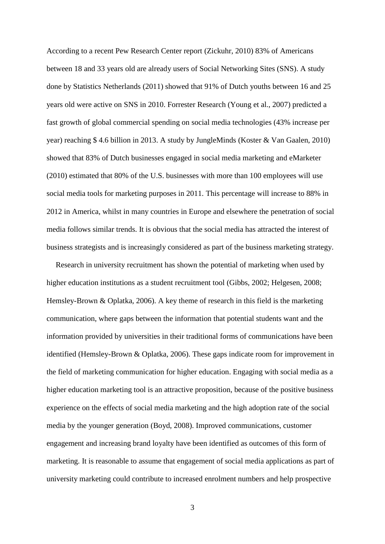According to a recent Pew Research Center report [\(Zickuhr, 2010\)](#page-30-0) 83% of Americans between 18 and 33 years old are already users of Social Networking Sites (SNS). A study done by Statistics Netherlands [\(2011\)](#page-29-1) showed that 91% of Dutch youths between 16 and 25 years old were active on SNS in 2010. Forrester Research [\(Young et al., 2007\)](#page-30-1) predicted a fast growth of global commercial spending on social media technologies (43% increase per year) reaching \$ 4.6 billion in 2013. A study by JungleMinds [\(Koster & Van Gaalen, 2010\)](#page-27-3) showed that 83% of Dutch businesses engaged in social media marketing and eMarketer [\(2010\)](#page-25-2) estimated that 80% of the U.S. businesses with more than 100 employees will use social media tools for marketing purposes in 2011. This percentage will increase to 88% in 2012 in America, whilst in many countries in Europe and elsewhere the penetration of social media follows similar trends. It is obvious that the social media has attracted the interest of business strategists and is increasingly considered as part of the business marketing strategy.

Research in university recruitment has shown the potential of marketing when used by higher education institutions as a student recruitment tool [\(Gibbs, 2002;](#page-25-3) [Helgesen, 2008;](#page-26-1) [Hemsley-Brown & Oplatka, 2006\)](#page-26-2). A key theme of research in this field is the marketing communication, where gaps between the information that potential students want and the information provided by universities in their traditional forms of communications have been identified [\(Hemsley-Brown & Oplatka, 2006\)](#page-26-2). These gaps indicate room for improvement in the field of marketing communication for higher education. Engaging with social media as a higher education marketing tool is an attractive proposition, because of the positive business experience on the effects of social media marketing and the high adoption rate of the social media by the younger generation [\(Boyd, 2008\)](#page-24-0). Improved communications, customer engagement and increasing brand loyalty have been identified as outcomes of this form of marketing. It is reasonable to assume that engagement of social media applications as part of university marketing could contribute to increased enrolment numbers and help prospective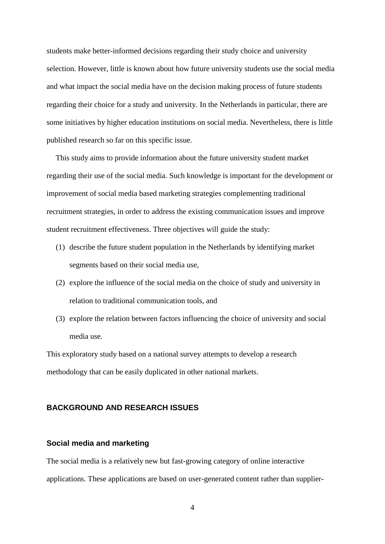students make better-informed decisions regarding their study choice and university selection. However, little is known about how future university students use the social media and what impact the social media have on the decision making process of future students regarding their choice for a study and university. In the Netherlands in particular, there are some initiatives by higher education institutions on social media. Nevertheless, there is little published research so far on this specific issue.

This study aims to provide information about the future university student market regarding their use of the social media. Such knowledge is important for the development or improvement of social media based marketing strategies complementing traditional recruitment strategies, in order to address the existing communication issues and improve student recruitment effectiveness. Three objectives will guide the study:

- (1) describe the future student population in the Netherlands by identifying market segments based on their social media use,
- (2) explore the influence of the social media on the choice of study and university in relation to traditional communication tools, and
- (3) explore the relation between factors influencing the choice of university and social media use.

This exploratory study based on a national survey attempts to develop a research methodology that can be easily duplicated in other national markets.

# **BACKGROUND AND RESEARCH ISSUES**

# **Social media and marketing**

The social media is a relatively new but fast-growing category of online interactive applications. These applications are based on user-generated content rather than supplier-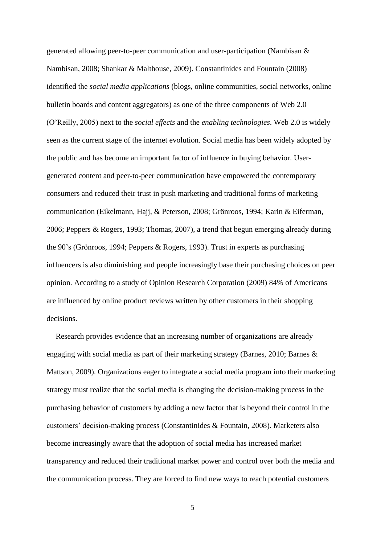generated allowing peer-to-peer communication and user-participation [\(Nambisan &](#page-28-0)  [Nambisan, 2008;](#page-28-0) [Shankar & Malthouse, 2009\)](#page-29-2). Constantinides and Fountain [\(2008\)](#page-25-0) identified the *social media applications* (blogs, online communities, social networks, online bulletin boards and content aggregators) as one of the three components of Web 2.0 [\(O'Reilly, 2005\)](#page-28-1) next to the *social effects* and the *enabling technologies*. Web 2.0 is widely seen as the current stage of the internet evolution. Social media has been widely adopted by the public and has become an important factor of influence in buying behavior. Usergenerated content and peer-to-peer communication have empowered the contemporary consumers and reduced their trust in push marketing and traditional forms of marketing communication [\(Eikelmann, Hajj, & Peterson, 2008;](#page-25-4) [Grönroos, 1994;](#page-26-3) [Karin & Eiferman,](#page-26-4)  [2006;](#page-26-4) [Peppers & Rogers, 1993;](#page-28-2) [Thomas, 2007\)](#page-29-3), a trend that begun emerging already during the 90's [\(Grönroos, 1994;](#page-26-3) [Peppers & Rogers, 1993\)](#page-28-2). Trust in experts as purchasing influencers is also diminishing and people increasingly base their purchasing choices on peer opinion. According to a study of Opinion Research Corporation [\(2009\)](#page-28-3) 84% of Americans are influenced by online product reviews written by other customers in their shopping decisions.

Research provides evidence that an increasing number of organizations are already engaging with social media as part of their marketing strategy [\(Barnes, 2010;](#page-24-1) [Barnes &](#page-24-2)  [Mattson, 2009\)](#page-24-2). Organizations eager to integrate a social media program into their marketing strategy must realize that the social media is changing the decision-making process in the purchasing behavior of customers by adding a new factor that is beyond their control in the customers' decision-making process [\(Constantinides & Fountain, 2008\)](#page-25-0). Marketers also become increasingly aware that the adoption of social media has increased market transparency and reduced their traditional market power and control over both the media and the communication process. They are forced to find new ways to reach potential customers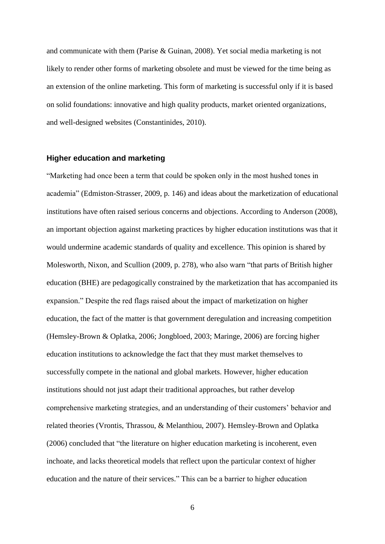and communicate with them [\(Parise & Guinan, 2008\)](#page-28-4). Yet social media marketing is not likely to render other forms of marketing obsolete and must be viewed for the time being as an extension of the online marketing. This form of marketing is successful only if it is based on solid foundations: innovative and high quality products, market oriented organizations, and well-designed websites [\(Constantinides, 2010\)](#page-24-3).

#### **Higher education and marketing**

"Marketing had once been a term that could be spoken only in the most hushed tones in academia" [\(Edmiston-Strasser, 2009, p. 146\)](#page-25-5) and ideas about the marketization of educational institutions have often raised serious concerns and objections. According to Anderson [\(2008\)](#page-23-2), an important objection against marketing practices by higher education institutions was that it would undermine academic standards of quality and excellence. This opinion is shared by Molesworth, Nixon, and Scullion [\(2009, p. 278\)](#page-28-5), who also warn "that parts of British higher education (BHE) are pedagogically constrained by the marketization that has accompanied its expansion." Despite the red flags raised about the impact of marketization on higher education, the fact of the matter is that government deregulation and increasing competition [\(Hemsley-Brown & Oplatka, 2006;](#page-26-2) [Jongbloed, 2003;](#page-26-5) [Maringe, 2006\)](#page-27-4) are forcing higher education institutions to acknowledge the fact that they must market themselves to successfully compete in the national and global markets. However, higher education institutions should not just adapt their traditional approaches, but rather develop comprehensive marketing strategies, and an understanding of their customers' behavior and related theories [\(Vrontis, Thrassou, & Melanthiou, 2007\)](#page-30-2). [Hemsley-Brown and Oplatka](#page-25-3)  [\(2006\)](#page-26-2) concluded that "the literature on higher education marketing is incoherent, even inchoate, and lacks theoretical models that reflect upon the particular context of higher education and the nature of their services." This can be a barrier to higher education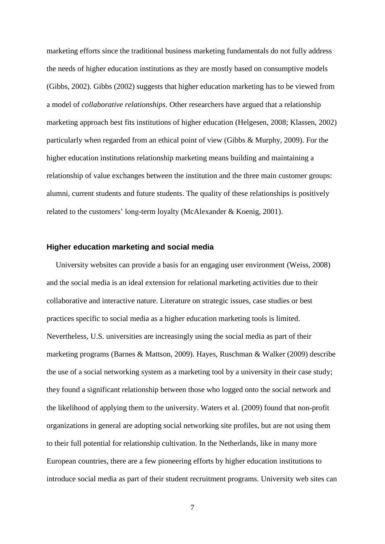marketing efforts since the traditional business marketing fundamentals do not fully address the needs of higher education institutions as they are mostly based on consumptive models [\(Gibbs, 2002\)](#page-25-3). Gibbs [\(2002\)](#page-25-3) suggests that higher education marketing has to be viewed from a model of *collaborative relationships*. Other researchers have argued that a relationship marketing approach best fits institutions of higher education [\(Helgesen, 2008;](#page-26-1) [Klassen, 2002\)](#page-27-5) particularly when regarded from an ethical point of view [\(Gibbs & Murphy, 2009\)](#page-25-6). For the higher education institutions relationship marketing means building and maintaining a relationship of value exchanges between the institution and the three main customer groups: alumni, current students and future students. The quality of these relationships is positively related to the customers' long-term loyalty [\(McAlexander & Koenig, 2001\)](#page-27-6).

#### **Higher education marketing and social media**

University websites can provide a basis for an engaging user environment [\(Weiss, 2008\)](#page-30-3) and the social media is an ideal extension for relational marketing activities due to their collaborative and interactive nature. Literature on strategic issues, case studies or best practices specific to social media as a higher education marketing tools is limited. Nevertheless, U.S. universities are increasingly using the social media as part of their marketing programs [\(Barnes & Mattson, 2009\)](#page-24-2). Hayes, Ruschman & Walker [\(2009\)](#page-26-6) describe the use of a social networking system as a marketing tool by a university in their case study; they found a significant relationship between those who logged onto the social network and the likelihood of applying them to the university. Waters et al. [\(2009\)](#page-30-4) found that non-profit organizations in general are adopting social networking site profiles, but are not using them to their full potential for relationship cultivation. In the Netherlands, like in many more European countries, there are a few pioneering efforts by higher education institutions to introduce social media as part of their student recruitment programs. University web sites can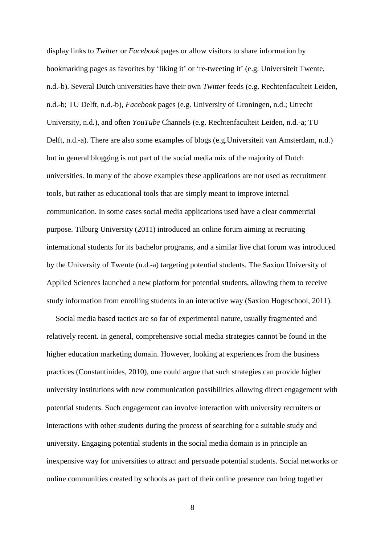display links to *Twitter* or *Facebook* pages or allow visitors to share information by bookmarking pages as favorites by 'liking it' or 're-tweeting it' [\(e.g. Universiteit Twente,](#page-30-5)  [n.d.-b\)](#page-30-5). Several Dutch universities have their own *Twitter* feeds (e.g. [Rechtenfaculteit Leiden,](#page-28-6)  [n.d.-b;](#page-28-6) [TU Delft, n.d.-b\)](#page-30-6), *Facebook* pages (e.g. [University of Groningen, n.d.;](#page-30-7) [Utrecht](#page-30-8)  [University, n.d.\)](#page-30-8), and often *YouTube* Channels (e.g. [Rechtenfaculteit Leiden, n.d.-a;](#page-28-7) [TU](#page-29-4)  [Delft, n.d.-a\)](#page-29-4). There are also some examples of blogs [\(e.g.Universiteit van Amsterdam, n.d.\)](#page-30-9) but in general blogging is not part of the social media mix of the majority of Dutch universities. In many of the above examples these applications are not used as recruitment tools, but rather as educational tools that are simply meant to improve internal communication. In some cases social media applications used have a clear commercial purpose. Tilburg University [\(2011\)](#page-29-5) introduced an online forum aiming at recruiting international students for its bachelor programs, and a similar live chat forum was introduced by the University of Twente [\(n.d.-a\)](#page-30-10) targeting potential students. The Saxion University of Applied Sciences launched a new platform for potential students, allowing them to receive study information from enrolling students in an interactive way [\(Saxion Hogeschool, 2011\)](#page-29-6).

Social media based tactics are so far of experimental nature, usually fragmented and relatively recent. In general, comprehensive social media strategies cannot be found in the higher education marketing domain. However, looking at experiences from the business practices [\(Constantinides, 2010\)](#page-24-3), one could argue that such strategies can provide higher university institutions with new communication possibilities allowing direct engagement with potential students. Such engagement can involve interaction with university recruiters or interactions with other students during the process of searching for a suitable study and university. Engaging potential students in the social media domain is in principle an inexpensive way for universities to attract and persuade potential students. Social networks or online communities created by schools as part of their online presence can bring together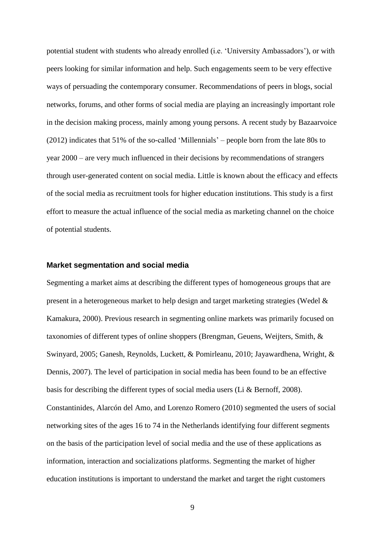potential student with students who already enrolled (i.e. 'University Ambassadors'), or with peers looking for similar information and help. Such engagements seem to be very effective ways of persuading the contemporary consumer. Recommendations of peers in blogs, social networks, forums, and other forms of social media are playing an increasingly important role in the decision making process, mainly among young persons. A recent study by Bazaarvoice [\(2012\)](#page-24-4) indicates that 51% of the so-called 'Millennials' – people born from the late 80s to year 2000 – are very much influenced in their decisions by recommendations of strangers through user-generated content on social media. Little is known about the efficacy and effects of the social media as recruitment tools for higher education institutions. This study is a first effort to measure the actual influence of the social media as marketing channel on the choice of potential students.

#### **Market segmentation and social media**

Segmenting a market aims at describing the different types of homogeneous groups that are present in a heterogeneous market to help design and target marketing strategies [\(Wedel &](#page-30-11)  [Kamakura, 2000\)](#page-30-11). Previous research in segmenting online markets was primarily focused on taxonomies of different types of online shoppers [\(Brengman, Geuens, Weijters, Smith, &](#page-24-5)  [Swinyard, 2005;](#page-24-5) [Ganesh, Reynolds, Luckett, & Pomirleanu, 2010;](#page-25-7) [Jayawardhena, Wright, &](#page-26-7)  [Dennis, 2007\)](#page-26-7). The level of participation in social media has been found to be an effective basis for describing the different types of social media users [\(Li & Bernoff, 2008\)](#page-27-7). Constantinides, Alarcón del Amo, and Lorenzo Romero [\(2010\)](#page-24-6) segmented the users of social networking sites of the ages 16 to 74 in the Netherlands identifying four different segments on the basis of the participation level of social media and the use of these applications as information, interaction and socializations platforms. Segmenting the market of higher education institutions is important to understand the market and target the right customers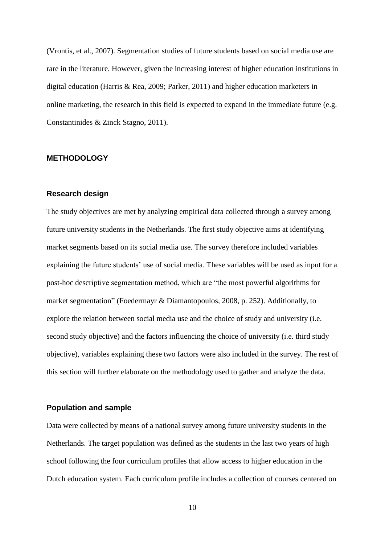[\(Vrontis, et al., 2007\)](#page-30-2). Segmentation studies of future students based on social media use are rare in the literature. However, given the increasing interest of higher education institutions in digital education [\(Harris & Rea, 2009;](#page-26-8) [Parker, 2011\)](#page-28-8) and higher education marketers in online marketing, the research in this field is expected to expand in the immediate future [\(e.g.](#page-25-8)  [Constantinides & Zinck Stagno, 2011\)](#page-25-8).

#### **METHODOLOGY**

#### **Research design**

The study objectives are met by analyzing empirical data collected through a survey among future university students in the Netherlands. The first study objective aims at identifying market segments based on its social media use. The survey therefore included variables explaining the future students' use of social media. These variables will be used as input for a post-hoc descriptive segmentation method, which are "the most powerful algorithms for market segmentation" [\(Foedermayr & Diamantopoulos, 2008, p. 252\)](#page-25-9). Additionally, to explore the relation between social media use and the choice of study and university (i.e. second study objective) and the factors influencing the choice of university (i.e. third study objective), variables explaining these two factors were also included in the survey. The rest of this section will further elaborate on the methodology used to gather and analyze the data.

# **Population and sample**

Data were collected by means of a national survey among future university students in the Netherlands. The target population was defined as the students in the last two years of high school following the four curriculum profiles that allow access to higher education in the Dutch education system. Each curriculum profile includes a collection of courses centered on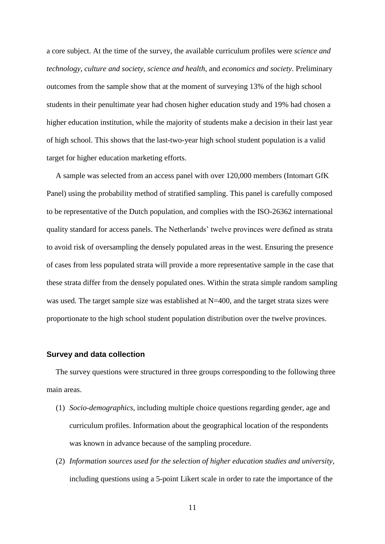a core subject. At the time of the survey, the available curriculum profiles were *science and technology*, *culture and society*, *science and health*, and *economics and society*. Preliminary outcomes from the sample show that at the moment of surveying 13% of the high school students in their penultimate year had chosen higher education study and 19% had chosen a higher education institution, while the majority of students make a decision in their last year of high school. This shows that the last-two-year high school student population is a valid target for higher education marketing efforts.

A sample was selected from an access panel with over 120,000 members (Intomart GfK Panel) using the probability method of stratified sampling. This panel is carefully composed to be representative of the Dutch population, and complies with the ISO-26362 international quality standard for access panels. The Netherlands' twelve provinces were defined as strata to avoid risk of oversampling the densely populated areas in the west. Ensuring the presence of cases from less populated strata will provide a more representative sample in the case that these strata differ from the densely populated ones. Within the strata simple random sampling was used. The target sample size was established at N=400, and the target strata sizes were proportionate to the high school student population distribution over the twelve provinces.

#### **Survey and data collection**

The survey questions were structured in three groups corresponding to the following three main areas.

- (1) *Socio-demographics*, including multiple choice questions regarding gender, age and curriculum profiles. Information about the geographical location of the respondents was known in advance because of the sampling procedure.
- (2) *Information sources used for the selection of higher education studies and university,*  including questions using a 5-point Likert scale in order to rate the importance of the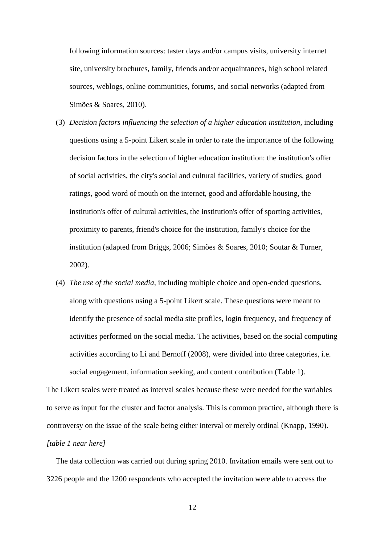following information sources: taster days and/or campus visits, university internet site, university brochures, family, friends and/or acquaintances, high school related sources, weblogs, online communities, forums, and social networks [\(adapted from](#page-29-7)  [Simões & Soares, 2010\)](#page-29-7).

- (3) *Decision factors influencing the selection of a higher education institution*, including questions using a 5-point Likert scale in order to rate the importance of the following decision factors in the selection of higher education institution: the institution's offer of social activities, the city's social and cultural facilities, variety of studies, good ratings, good word of mouth on the internet, good and affordable housing, the institution's offer of cultural activities, the institution's offer of sporting activities, proximity to parents, friend's choice for the institution, family's choice for the institution (adapted from [Briggs, 2006;](#page-24-7) [Simões & Soares, 2010;](#page-29-7) [Soutar & Turner,](#page-29-8)  [2002\)](#page-29-8).
- (4) *The use of the social media*, including multiple choice and open-ended questions, along with questions using a 5-point Likert scale. These questions were meant to identify the presence of social media site profiles, login frequency, and frequency of activities performed on the social media. The activities, based on the social computing activities according to Li and Bernoff [\(2008\)](#page-27-7), were divided into three categories, i.e. social engagement, information seeking, and content contribution (Table 1).

The Likert scales were treated as interval scales because these were needed for the variables to serve as input for the cluster and factor analysis. This is common practice, although there is controversy on the issue of the scale being either interval or merely ordinal [\(Knapp, 1990\)](#page-27-8). *[table 1 near here]*

The data collection was carried out during spring 2010. Invitation emails were sent out to 3226 people and the 1200 respondents who accepted the invitation were able to access the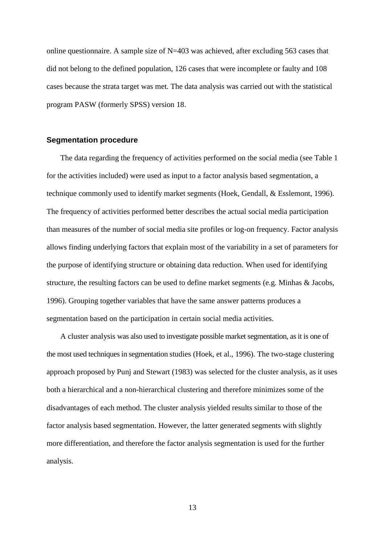online questionnaire. A sample size of N=403 was achieved, after excluding 563 cases that did not belong to the defined population, 126 cases that were incomplete or faulty and 108 cases because the strata target was met. The data analysis was carried out with the statistical program PASW (formerly SPSS) version 18.

#### **Segmentation procedure**

The data regarding the frequency of activities performed on the social media (see Table 1 for the activities included) were used as input to a factor analysis based segmentation, a technique commonly used to identify market segments [\(Hoek, Gendall, & Esslemont, 1996\)](#page-26-9). The frequency of activities performed better describes the actual social media participation than measures of the number of social media site profiles or log-on frequency. Factor analysis allows finding underlying factors that explain most of the variability in a set of parameters for the purpose of identifying structure or obtaining data reduction. When used for identifying structure, the resulting factors can be used to define market segments [\(e.g. Minhas & Jacobs,](#page-27-9)  [1996\)](#page-27-9). Grouping together variables that have the same answer patterns produces a segmentation based on the participation in certain social media activities.

A cluster analysis was also used to investigate possible market segmentation, as it is one of the most used techniques in segmentation studies [\(Hoek, et al., 1996\)](#page-26-9). The two-stage clustering approach proposed by Punj and Stewart [\(1983\)](#page-28-9) was selected for the cluster analysis, as it uses both a hierarchical and a non-hierarchical clustering and therefore minimizes some of the disadvantages of each method. The cluster analysis yielded results similar to those of the factor analysis based segmentation. However, the latter generated segments with slightly more differentiation, and therefore the factor analysis segmentation is used for the further analysis.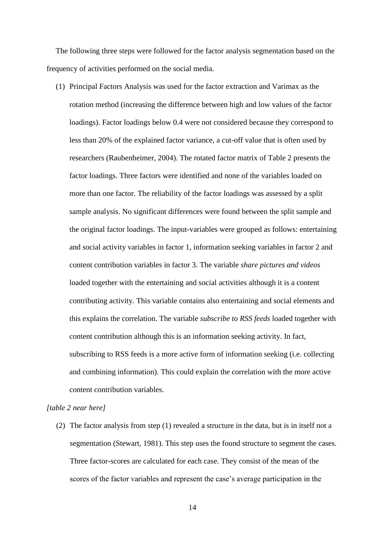The following three steps were followed for the factor analysis segmentation based on the frequency of activities performed on the social media.

(1) Principal Factors Analysis was used for the factor extraction and Varimax as the rotation method (increasing the difference between high and low values of the factor loadings). Factor loadings below 0.4 were not considered because they correspond to less than 20% of the explained factor variance, a cut-off value that is often used by researchers [\(Raubenheimer, 2004\)](#page-28-10). The rotated factor matrix of Table 2 presents the factor loadings. Three factors were identified and none of the variables loaded on more than one factor. The reliability of the factor loadings was assessed by a split sample analysis. No significant differences were found between the split sample and the original factor loadings. The input-variables were grouped as follows: entertaining and social activity variables in factor 1, information seeking variables in factor 2 and content contribution variables in factor 3. The variable *share pictures and videos* loaded together with the entertaining and social activities although it is a content contributing activity. This variable contains also entertaining and social elements and this explains the correlation. The variable *subscribe to RSS feeds* loaded together with content contribution although this is an information seeking activity. In fact, subscribing to RSS feeds is a more active form of information seeking (i.e. collecting and combining information). This could explain the correlation with the more active content contribution variables.

#### *[table 2 near here]*

(2) The factor analysis from step (1) revealed a structure in the data, but is in itself not a segmentation [\(Stewart, 1981\)](#page-29-9). This step uses the found structure to segment the cases. Three factor-scores are calculated for each case. They consist of the mean of the scores of the factor variables and represent the case's average participation in the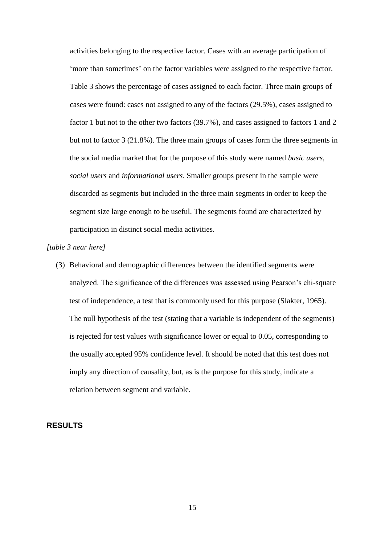activities belonging to the respective factor. Cases with an average participation of 'more than sometimes' on the factor variables were assigned to the respective factor. Table 3 shows the percentage of cases assigned to each factor. Three main groups of cases were found: cases not assigned to any of the factors (29.5%), cases assigned to factor 1 but not to the other two factors (39.7%), and cases assigned to factors 1 and 2 but not to factor 3 (21.8%). The three main groups of cases form the three segments in the social media market that for the purpose of this study were named *basic users*, *social users* and *informational users*. Smaller groups present in the sample were discarded as segments but included in the three main segments in order to keep the segment size large enough to be useful. The segments found are characterized by participation in distinct social media activities.

#### *[table 3 near here]*

(3) Behavioral and demographic differences between the identified segments were analyzed. The significance of the differences was assessed using Pearson's chi-square test of independence, a test that is commonly used for this purpose [\(Slakter, 1965\)](#page-29-10). The null hypothesis of the test (stating that a variable is independent of the segments) is rejected for test values with significance lower or equal to 0.05, corresponding to the usually accepted 95% confidence level. It should be noted that this test does not imply any direction of causality, but, as is the purpose for this study, indicate a relation between segment and variable.

# **RESULTS**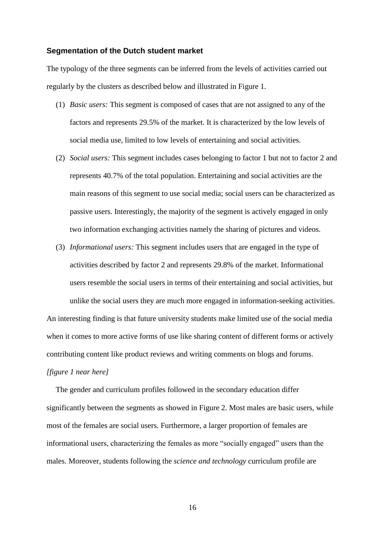#### **Segmentation of the Dutch student market**

The typology of the three segments can be inferred from the levels of activities carried out regularly by the clusters as described below and illustrated in Figure 1.

- (1) *Basic users:* This segment is composed of cases that are not assigned to any of the factors and represents 29.5% of the market. It is characterized by the low levels of social media use, limited to low levels of entertaining and social activities.
- (2) *Social users:* This segment includes cases belonging to factor 1 but not to factor 2 and represents 40.7% of the total population. Entertaining and social activities are the main reasons of this segment to use social media; social users can be characterized as passive users. Interestingly, the majority of the segment is actively engaged in only two information exchanging activities namely the sharing of pictures and videos.
- (3) *Informational users:* This segment includes users that are engaged in the type of activities described by factor 2 and represents 29.8% of the market. Informational users resemble the social users in terms of their entertaining and social activities, but unlike the social users they are much more engaged in information-seeking activities.

An interesting finding is that future university students make limited use of the social media when it comes to more active forms of use like sharing content of different forms or actively contributing content like product reviews and writing comments on blogs and forums.

#### *[figure 1 near here]*

The gender and curriculum profiles followed in the secondary education differ significantly between the segments as showed in Figure 2. Most males are basic users, while most of the females are social users. Furthermore, a larger proportion of females are informational users, characterizing the females as more "socially engaged" users than the males. Moreover, students following the *science and technology* curriculum profile are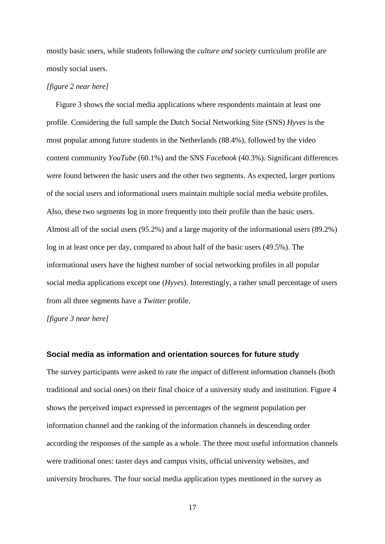mostly basic users, while students following the *culture and society* curriculum profile are mostly social users.

#### *[figure 2 near here]*

Figure 3 shows the social media applications where respondents maintain at least one profile. Considering the full sample the Dutch Social Networking Site (SNS) *Hyves* is the most popular among future students in the Netherlands (88.4%), followed by the video content community *YouTube* (60.1%) and the SNS *Facebook* (40.3%). Significant differences were found between the basic users and the other two segments. As expected, larger portions of the social users and informational users maintain multiple social media website profiles. Also, these two segments log in more frequently into their profile than the basic users. Almost all of the social users (95.2%) and a large majority of the informational users (89.2%) log in at least once per day, compared to about half of the basic users (49.5%). The informational users have the highest number of social networking profiles in all popular social media applications except one (*Hyves*). Interestingly, a rather small percentage of users from all three segments have a *Twitter* profile.

*[figure 3 near here]*

# **Social media as information and orientation sources for future study**

The survey participants were asked to rate the impact of different information channels (both traditional and social ones) on their final choice of a university study and institution. Figure 4 shows the perceived impact expressed in percentages of the segment population per information channel and the ranking of the information channels in descending order according the responses of the sample as a whole. The three most useful information channels were traditional ones: taster days and campus visits, official university websites, and university brochures. The four social media application types mentioned in the survey as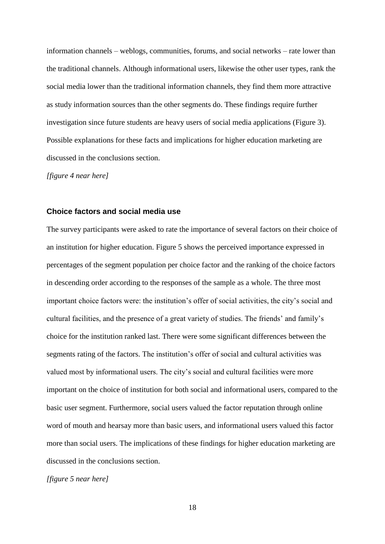information channels – weblogs, communities, forums, and social networks – rate lower than the traditional channels. Although informational users, likewise the other user types, rank the social media lower than the traditional information channels, they find them more attractive as study information sources than the other segments do. These findings require further investigation since future students are heavy users of social media applications (Figure 3). Possible explanations for these facts and implications for higher education marketing are discussed in the conclusions section.

*[figure 4 near here]*

#### **Choice factors and social media use**

The survey participants were asked to rate the importance of several factors on their choice of an institution for higher education. Figure 5 shows the perceived importance expressed in percentages of the segment population per choice factor and the ranking of the choice factors in descending order according to the responses of the sample as a whole. The three most important choice factors were: the institution's offer of social activities, the city's social and cultural facilities, and the presence of a great variety of studies. The friends' and family's choice for the institution ranked last. There were some significant differences between the segments rating of the factors. The institution's offer of social and cultural activities was valued most by informational users. The city's social and cultural facilities were more important on the choice of institution for both social and informational users, compared to the basic user segment. Furthermore, social users valued the factor reputation through online word of mouth and hearsay more than basic users, and informational users valued this factor more than social users. The implications of these findings for higher education marketing are discussed in the conclusions section.

*[figure 5 near here]*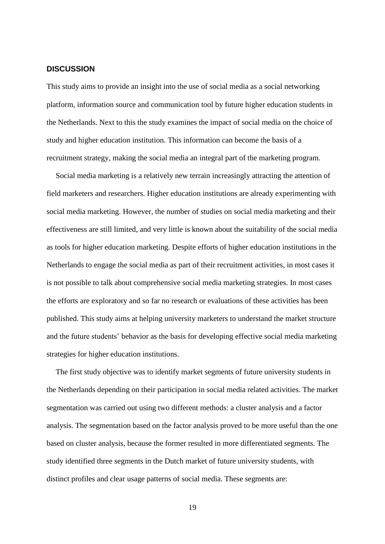# **DISCUSSION**

This study aims to provide an insight into the use of social media as a social networking platform, information source and communication tool by future higher education students in the Netherlands. Next to this the study examines the impact of social media on the choice of study and higher education institution. This information can become the basis of a recruitment strategy, making the social media an integral part of the marketing program.

Social media marketing is a relatively new terrain increasingly attracting the attention of field marketers and researchers. Higher education institutions are already experimenting with social media marketing. However, the number of studies on social media marketing and their effectiveness are still limited, and very little is known about the suitability of the social media as tools for higher education marketing. Despite efforts of higher education institutions in the Netherlands to engage the social media as part of their recruitment activities, in most cases it is not possible to talk about comprehensive social media marketing strategies. In most cases the efforts are exploratory and so far no research or evaluations of these activities has been published. This study aims at helping university marketers to understand the market structure and the future students' behavior as the basis for developing effective social media marketing strategies for higher education institutions.

The first study objective was to identify market segments of future university students in the Netherlands depending on their participation in social media related activities. The market segmentation was carried out using two different methods: a cluster analysis and a factor analysis. The segmentation based on the factor analysis proved to be more useful than the one based on cluster analysis, because the former resulted in more differentiated segments. The study identified three segments in the Dutch market of future university students, with distinct profiles and clear usage patterns of social media. These segments are: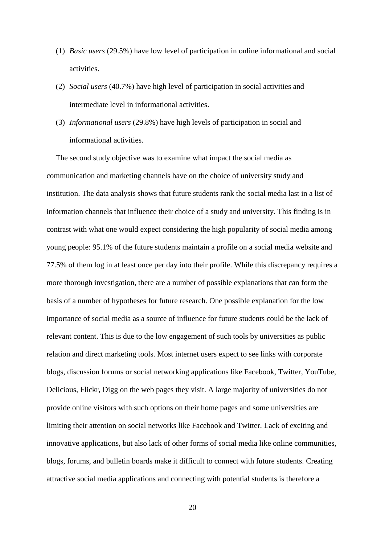- (1) *Basic users* (29.5%) have low level of participation in online informational and social activities.
- (2) *Social users* (40.7%) have high level of participation in social activities and intermediate level in informational activities.
- (3) *Informational users* (29.8%) have high levels of participation in social and informational activities.

The second study objective was to examine what impact the social media as communication and marketing channels have on the choice of university study and institution. The data analysis shows that future students rank the social media last in a list of information channels that influence their choice of a study and university. This finding is in contrast with what one would expect considering the high popularity of social media among young people: 95.1% of the future students maintain a profile on a social media website and 77.5% of them log in at least once per day into their profile. While this discrepancy requires a more thorough investigation, there are a number of possible explanations that can form the basis of a number of hypotheses for future research. One possible explanation for the low importance of social media as a source of influence for future students could be the lack of relevant content. This is due to the low engagement of such tools by universities as public relation and direct marketing tools. Most internet users expect to see links with corporate blogs, discussion forums or social networking applications like Facebook, Twitter, YouTube, Delicious, Flickr, Digg on the web pages they visit. A large majority of universities do not provide online visitors with such options on their home pages and some universities are limiting their attention on social networks like Facebook and Twitter. Lack of exciting and innovative applications, but also lack of other forms of social media like online communities, blogs, forums, and bulletin boards make it difficult to connect with future students. Creating attractive social media applications and connecting with potential students is therefore a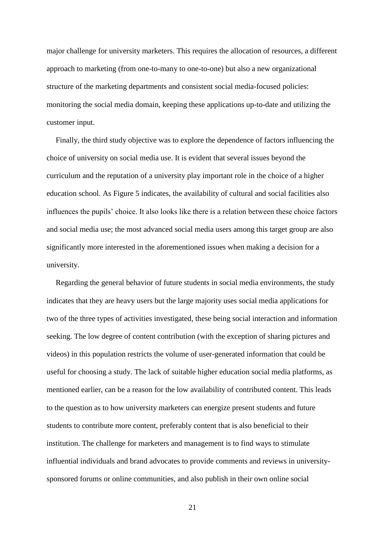major challenge for university marketers. This requires the allocation of resources, a different approach to marketing (from one-to-many to one-to-one) but also a new organizational structure of the marketing departments and consistent social media-focused policies: monitoring the social media domain, keeping these applications up-to-date and utilizing the customer input.

Finally, the third study objective was to explore the dependence of factors influencing the choice of university on social media use. It is evident that several issues beyond the curriculum and the reputation of a university play important role in the choice of a higher education school. As Figure 5 indicates, the availability of cultural and social facilities also influences the pupils' choice. It also looks like there is a relation between these choice factors and social media use; the most advanced social media users among this target group are also significantly more interested in the aforementioned issues when making a decision for a university.

Regarding the general behavior of future students in social media environments, the study indicates that they are heavy users but the large majority uses social media applications for two of the three types of activities investigated, these being social interaction and information seeking. The low degree of content contribution (with the exception of sharing pictures and videos) in this population restricts the volume of user-generated information that could be useful for choosing a study. The lack of suitable higher education social media platforms, as mentioned earlier, can be a reason for the low availability of contributed content. This leads to the question as to how university marketers can energize present students and future students to contribute more content, preferably content that is also beneficial to their institution. The challenge for marketers and management is to find ways to stimulate influential individuals and brand advocates to provide comments and reviews in universitysponsored forums or online communities, and also publish in their own online social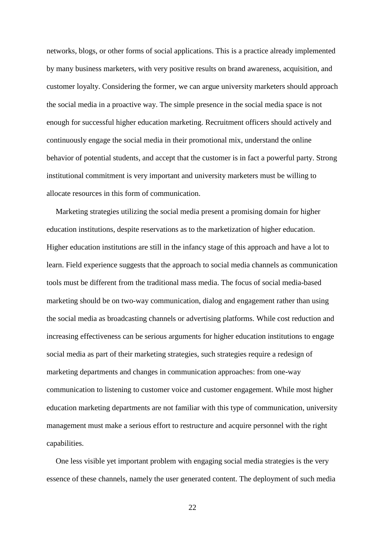networks, blogs, or other forms of social applications. This is a practice already implemented by many business marketers, with very positive results on brand awareness, acquisition, and customer loyalty. Considering the former, we can argue university marketers should approach the social media in a proactive way. The simple presence in the social media space is not enough for successful higher education marketing. Recruitment officers should actively and continuously engage the social media in their promotional mix, understand the online behavior of potential students, and accept that the customer is in fact a powerful party. Strong institutional commitment is very important and university marketers must be willing to allocate resources in this form of communication.

Marketing strategies utilizing the social media present a promising domain for higher education institutions, despite reservations as to the marketization of higher education. Higher education institutions are still in the infancy stage of this approach and have a lot to learn. Field experience suggests that the approach to social media channels as communication tools must be different from the traditional mass media. The focus of social media-based marketing should be on two-way communication, dialog and engagement rather than using the social media as broadcasting channels or advertising platforms. While cost reduction and increasing effectiveness can be serious arguments for higher education institutions to engage social media as part of their marketing strategies, such strategies require a redesign of marketing departments and changes in communication approaches: from one-way communication to listening to customer voice and customer engagement. While most higher education marketing departments are not familiar with this type of communication, university management must make a serious effort to restructure and acquire personnel with the right capabilities.

One less visible yet important problem with engaging social media strategies is the very essence of these channels, namely the user generated content. The deployment of such media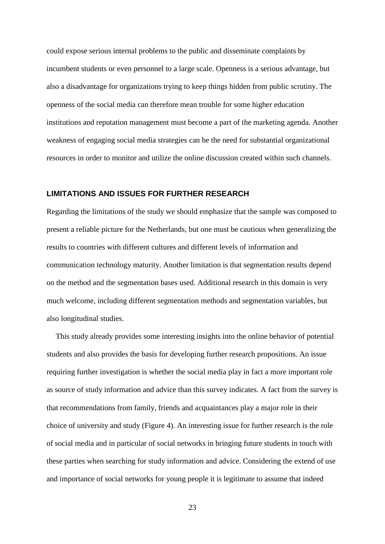could expose serious internal problems to the public and disseminate complaints by incumbent students or even personnel to a large scale. Openness is a serious advantage, but also a disadvantage for organizations trying to keep things hidden from public scrutiny. The openness of the social media can therefore mean trouble for some higher education institutions and reputation management must become a part of the marketing agenda. Another weakness of engaging social media strategies can be the need for substantial organizational resources in order to monitor and utilize the online discussion created within such channels.

# **LIMITATIONS AND ISSUES FOR FURTHER RESEARCH**

Regarding the limitations of the study we should emphasize that the sample was composed to present a reliable picture for the Netherlands, but one must be cautious when generalizing the results to countries with different cultures and different levels of information and communication technology maturity. Another limitation is that segmentation results depend on the method and the segmentation bases used. Additional research in this domain is very much welcome, including different segmentation methods and segmentation variables, but also longitudinal studies.

This study already provides some interesting insights into the online behavior of potential students and also provides the basis for developing further research propositions. An issue requiring further investigation is whether the social media play in fact a more important role as source of study information and advice than this survey indicates. A fact from the survey is that recommendations from family, friends and acquaintances play a major role in their choice of university and study (Figure 4). An interesting issue for further research is the role of social media and in particular of social networks in bringing future students in touch with these parties when searching for study information and advice. Considering the extend of use and importance of social networks for young people it is legitimate to assume that indeed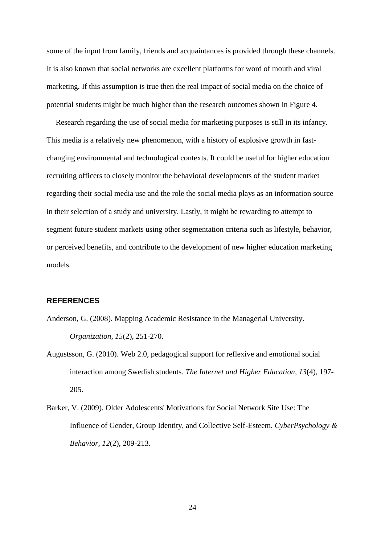some of the input from family, friends and acquaintances is provided through these channels. It is also known that social networks are excellent platforms for word of mouth and viral marketing. If this assumption is true then the real impact of social media on the choice of potential students might be much higher than the research outcomes shown in Figure 4.

Research regarding the use of social media for marketing purposes is still in its infancy. This media is a relatively new phenomenon, with a history of explosive growth in fastchanging environmental and technological contexts. It could be useful for higher education recruiting officers to closely monitor the behavioral developments of the student market regarding their social media use and the role the social media plays as an information source in their selection of a study and university. Lastly, it might be rewarding to attempt to segment future student markets using other segmentation criteria such as lifestyle, behavior, or perceived benefits, and contribute to the development of new higher education marketing models.

#### **REFERENCES**

- <span id="page-23-2"></span>Anderson, G. (2008). Mapping Academic Resistance in the Managerial University. *Organization, 15*(2), 251-270.
- <span id="page-23-1"></span>Augustsson, G. (2010). Web 2.0, pedagogical support for reflexive and emotional social interaction among Swedish students. *The Internet and Higher Education, 13*(4), 197- 205.
- <span id="page-23-0"></span>Barker, V. (2009). Older Adolescents' Motivations for Social Network Site Use: The Influence of Gender, Group Identity, and Collective Self-Esteem. *CyberPsychology & Behavior, 12*(2), 209-213.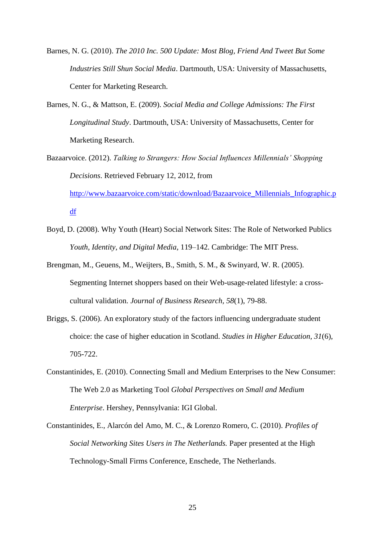- <span id="page-24-1"></span>Barnes, N. G. (2010). *The 2010 Inc. 500 Update: Most Blog, Friend And Tweet But Some Industries Still Shun Social Media*. Dartmouth, USA: University of Massachusetts, Center for Marketing Research.
- <span id="page-24-2"></span>Barnes, N. G., & Mattson, E. (2009). *Social Media and College Admissions: The First Longitudinal Study*. Dartmouth, USA: University of Massachusetts, Center for Marketing Research.
- <span id="page-24-4"></span>Bazaarvoice. (2012). *Talking to Strangers: How Social Influences Millennials' Shopping Decisions*. Retrieved February 12, 2012, from [http://www.bazaarvoice.com/static/download/Bazaarvoice\\_Millennials\\_Infographic.p](http://www.bazaarvoice.com/static/download/Bazaarvoice_Millennials_Infographic.pdf) [df](http://www.bazaarvoice.com/static/download/Bazaarvoice_Millennials_Infographic.pdf)
- <span id="page-24-0"></span>Boyd, D. (2008). Why Youth (Heart) Social Network Sites: The Role of Networked Publics *Youth, Identity, and Digital Media*, 119–142. Cambridge: The MIT Press.
- <span id="page-24-5"></span>Brengman, M., Geuens, M., Weijters, B., Smith, S. M., & Swinyard, W. R. (2005). Segmenting Internet shoppers based on their Web-usage-related lifestyle: a crosscultural validation. *Journal of Business Research, 58*(1), 79-88.
- <span id="page-24-7"></span>Briggs, S. (2006). An exploratory study of the factors influencing undergraduate student choice: the case of higher education in Scotland. *Studies in Higher Education, 31*(6), 705-722.
- <span id="page-24-3"></span>Constantinides, E. (2010). Connecting Small and Medium Enterprises to the New Consumer: The Web 2.0 as Marketing Tool *Global Perspectives on Small and Medium Enterprise*. Hershey, Pennsylvania: IGI Global.
- <span id="page-24-6"></span>Constantinides, E., Alarcón del Amo, M. C., & Lorenzo Romero, C. (2010). *Profiles of Social Networking Sites Users in The Netherlands.* Paper presented at the High Technology-Small Firms Conference, Enschede, The Netherlands.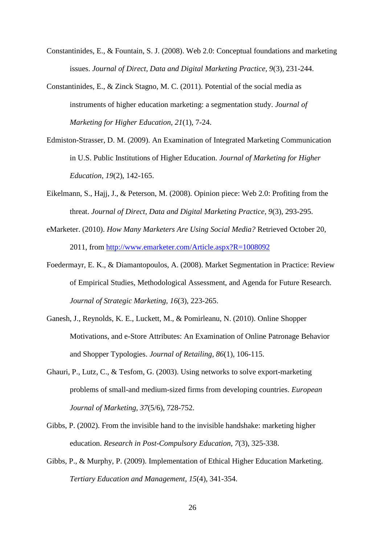- <span id="page-25-0"></span>Constantinides, E., & Fountain, S. J. (2008). Web 2.0: Conceptual foundations and marketing issues. *Journal of Direct, Data and Digital Marketing Practice, 9*(3), 231-244.
- <span id="page-25-8"></span>Constantinides, E., & Zinck Stagno, M. C. (2011). Potential of the social media as instruments of higher education marketing: a segmentation study. *Journal of Marketing for Higher Education, 21*(1), 7-24.
- <span id="page-25-5"></span>Edmiston-Strasser, D. M. (2009). An Examination of Integrated Marketing Communication in U.S. Public Institutions of Higher Education. *Journal of Marketing for Higher Education, 19*(2), 142-165.
- <span id="page-25-4"></span>Eikelmann, S., Hajj, J., & Peterson, M. (2008). Opinion piece: Web 2.0: Profiting from the threat. *Journal of Direct, Data and Digital Marketing Practice, 9*(3), 293-295.
- <span id="page-25-2"></span>eMarketer. (2010). *How Many Marketers Are Using Social Media?* Retrieved October 20, 2011, from<http://www.emarketer.com/Article.aspx?R=1008092>
- <span id="page-25-9"></span>Foedermayr, E. K., & Diamantopoulos, A. (2008). Market Segmentation in Practice: Review of Empirical Studies, Methodological Assessment, and Agenda for Future Research. *Journal of Strategic Marketing, 16*(3), 223-265.
- <span id="page-25-7"></span>Ganesh, J., Reynolds, K. E., Luckett, M., & Pomirleanu, N. (2010). Online Shopper Motivations, and e-Store Attributes: An Examination of Online Patronage Behavior and Shopper Typologies. *Journal of Retailing, 86*(1), 106-115.
- <span id="page-25-1"></span>Ghauri, P., Lutz, C., & Tesfom, G. (2003). Using networks to solve export-marketing problems of small-and medium-sized firms from developing countries. *European Journal of Marketing, 37*(5/6), 728-752.
- <span id="page-25-3"></span>Gibbs, P. (2002). From the invisible hand to the invisible handshake: marketing higher education. *Research in Post-Compulsory Education, 7*(3), 325-338.
- <span id="page-25-6"></span>Gibbs, P., & Murphy, P. (2009). Implementation of Ethical Higher Education Marketing. *Tertiary Education and Management, 15*(4), 341-354.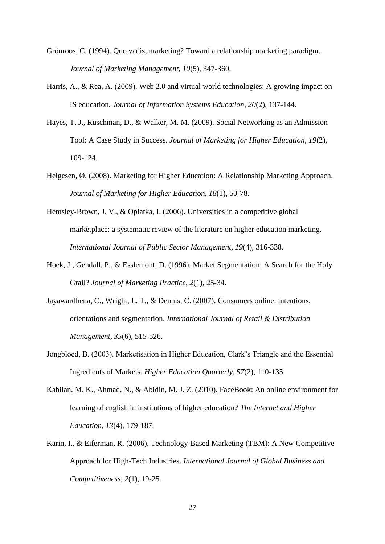- <span id="page-26-3"></span>Grönroos, C. (1994). Quo vadis, marketing? Toward a relationship marketing paradigm. *Journal of Marketing Management, 10*(5), 347-360.
- <span id="page-26-8"></span>Harris, A., & Rea, A. (2009). Web 2.0 and virtual world technologies: A growing impact on IS education. *Journal of Information Systems Education, 20*(2), 137-144.
- <span id="page-26-6"></span>Hayes, T. J., Ruschman, D., & Walker, M. M. (2009). Social Networking as an Admission Tool: A Case Study in Success. *Journal of Marketing for Higher Education, 19*(2), 109-124.
- <span id="page-26-1"></span>Helgesen, Ø. (2008). Marketing for Higher Education: A Relationship Marketing Approach. *Journal of Marketing for Higher Education, 18*(1), 50-78.
- <span id="page-26-2"></span>Hemsley-Brown, J. V., & Oplatka, I. (2006). Universities in a competitive global marketplace: a systematic review of the literature on higher education marketing. *International Journal of Public Sector Management, 19*(4), 316-338.
- <span id="page-26-9"></span>Hoek, J., Gendall, P., & Esslemont, D. (1996). Market Segmentation: A Search for the Holy Grail? *Journal of Marketing Practice, 2*(1), 25-34.
- <span id="page-26-7"></span>Jayawardhena, C., Wright, L. T., & Dennis, C. (2007). Consumers online: intentions, orientations and segmentation. *International Journal of Retail & Distribution Management, 35*(6), 515-526.
- <span id="page-26-5"></span>Jongbloed, B. (2003). Marketisation in Higher Education, Clark's Triangle and the Essential Ingredients of Markets. *Higher Education Quarterly, 57*(2), 110-135.
- <span id="page-26-0"></span>Kabilan, M. K., Ahmad, N., & Abidin, M. J. Z. (2010). FaceBook: An online environment for learning of english in institutions of higher education? *The Internet and Higher Education, 13*(4), 179-187.
- <span id="page-26-4"></span>Karin, I., & Eiferman, R. (2006). Technology-Based Marketing (TBM): A New Competitive Approach for High-Tech Industries. *International Journal of Global Business and Competitiveness, 2*(1), 19-25.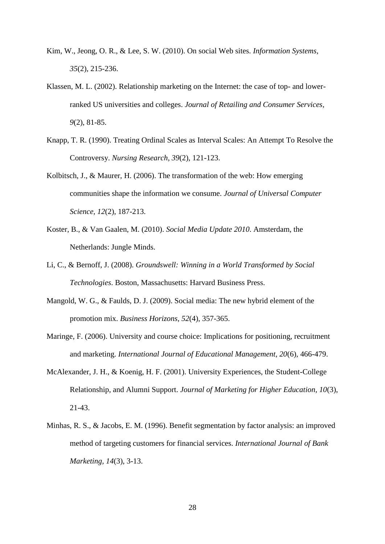- <span id="page-27-1"></span>Kim, W., Jeong, O. R., & Lee, S. W. (2010). On social Web sites. *Information Systems, 35*(2), 215-236.
- <span id="page-27-5"></span>Klassen, M. L. (2002). Relationship marketing on the Internet: the case of top- and lowerranked US universities and colleges. *Journal of Retailing and Consumer Services, 9*(2), 81-85.
- <span id="page-27-8"></span>Knapp, T. R. (1990). Treating Ordinal Scales as Interval Scales: An Attempt To Resolve the Controversy. *Nursing Research, 39*(2), 121-123.
- <span id="page-27-0"></span>Kolbitsch, J., & Maurer, H. (2006). The transformation of the web: How emerging communities shape the information we consume. *Journal of Universal Computer Science, 12*(2), 187-213.
- <span id="page-27-3"></span>Koster, B., & Van Gaalen, M. (2010). *Social Media Update 2010*. Amsterdam, the Netherlands: Jungle Minds.
- <span id="page-27-7"></span>Li, C., & Bernoff, J. (2008). *Groundswell: Winning in a World Transformed by Social Technologies*. Boston, Massachusetts: Harvard Business Press.
- <span id="page-27-2"></span>Mangold, W. G., & Faulds, D. J. (2009). Social media: The new hybrid element of the promotion mix. *Business Horizons, 52*(4), 357-365.
- <span id="page-27-4"></span>Maringe, F. (2006). University and course choice: Implications for positioning, recruitment and marketing. *International Journal of Educational Management, 20*(6), 466-479.
- <span id="page-27-6"></span>McAlexander, J. H., & Koenig, H. F. (2001). University Experiences, the Student-College Relationship, and Alumni Support. *Journal of Marketing for Higher Education, 10*(3), 21-43.
- <span id="page-27-9"></span>Minhas, R. S., & Jacobs, E. M. (1996). Benefit segmentation by factor analysis: an improved method of targeting customers for financial services. *International Journal of Bank Marketing, 14*(3), 3-13.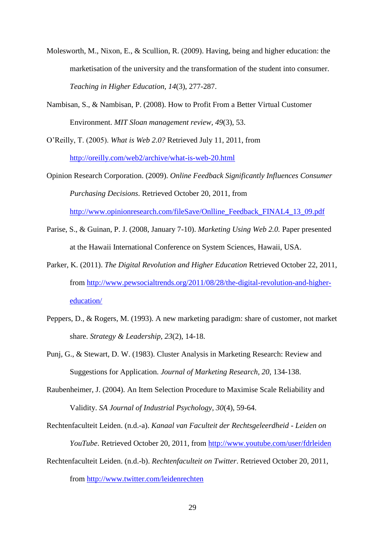- <span id="page-28-5"></span>Molesworth, M., Nixon, E., & Scullion, R. (2009). Having, being and higher education: the marketisation of the university and the transformation of the student into consumer. *Teaching in Higher Education, 14*(3), 277-287.
- <span id="page-28-0"></span>Nambisan, S., & Nambisan, P. (2008). How to Profit From a Better Virtual Customer Environment. *MIT Sloan management review, 49*(3), 53.

<span id="page-28-1"></span>O'Reilly, T. (2005). *What is Web 2.0?* Retrieved July 11, 2011, from <http://oreilly.com/web2/archive/what-is-web-20.html>

- <span id="page-28-3"></span>Opinion Research Corporation. (2009). *Online Feedback Significantly Influences Consumer Purchasing Decisions*. Retrieved October 20, 2011, from [http://www.opinionresearch.com/fileSave/Onlline\\_Feedback\\_FINAL4\\_13\\_09.pdf](http://www.opinionresearch.com/fileSave/Onlline_Feedback_FINAL4_13_09.pdf)
- <span id="page-28-4"></span>Parise, S., & Guinan, P. J. (2008, January 7-10). *Marketing Using Web 2.0.* Paper presented at the Hawaii International Conference on System Sciences, Hawaii, USA.
- <span id="page-28-8"></span>Parker, K. (2011). *The Digital Revolution and Higher Education* Retrieved October 22, 2011, from [http://www.pewsocialtrends.org/2011/08/28/the-digital-revolution-and-higher](http://www.pewsocialtrends.org/2011/08/28/the-digital-revolution-and-higher-education/)[education/](http://www.pewsocialtrends.org/2011/08/28/the-digital-revolution-and-higher-education/)
- <span id="page-28-2"></span>Peppers, D., & Rogers, M. (1993). A new marketing paradigm: share of customer, not market share. *Strategy & Leadership, 23*(2), 14-18.
- <span id="page-28-9"></span>Punj, G., & Stewart, D. W. (1983). Cluster Analysis in Marketing Research: Review and Suggestions for Application. *Journal of Marketing Research, 20*, 134-138.
- <span id="page-28-10"></span>Raubenheimer, J. (2004). An Item Selection Procedure to Maximise Scale Reliability and Validity. *SA Journal of Industrial Psychology, 30*(4), 59-64.
- <span id="page-28-7"></span>Rechtenfaculteit Leiden. (n.d.-a). *Kanaal van Faculteit der Rechtsgeleerdheid - Leiden on YouTube*. Retrieved October 20, 2011, from<http://www.youtube.com/user/fdrleiden>
- <span id="page-28-6"></span>Rechtenfaculteit Leiden. (n.d.-b). *Rechtenfaculteit on Twitter*. Retrieved October 20, 2011, from<http://www.twitter.com/leidenrechten>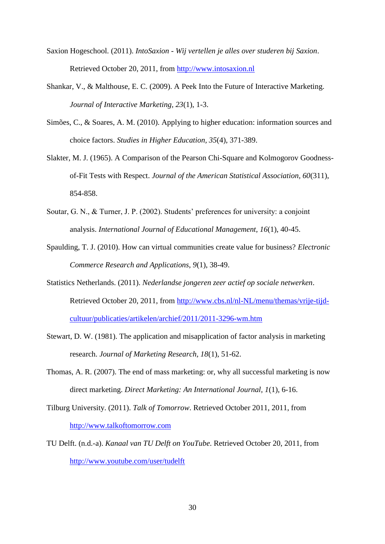- <span id="page-29-6"></span>Saxion Hogeschool. (2011). *IntoSaxion - Wij vertellen je alles over studeren bij Saxion*. Retrieved October 20, 2011, from [http://www.intosaxion.nl](http://www.intosaxion.nl/)
- <span id="page-29-2"></span>Shankar, V., & Malthouse, E. C. (2009). A Peek Into the Future of Interactive Marketing. *Journal of Interactive Marketing, 23*(1), 1-3.
- <span id="page-29-7"></span>Simões, C., & Soares, A. M. (2010). Applying to higher education: information sources and choice factors. *Studies in Higher Education, 35*(4), 371-389.
- <span id="page-29-10"></span>Slakter, M. J. (1965). A Comparison of the Pearson Chi-Square and Kolmogorov Goodnessof-Fit Tests with Respect. *Journal of the American Statistical Association, 60*(311), 854-858.
- <span id="page-29-8"></span>Soutar, G. N., & Turner, J. P. (2002). Students' preferences for university: a conjoint analysis. *International Journal of Educational Management, 16*(1), 40-45.
- <span id="page-29-0"></span>Spaulding, T. J. (2010). How can virtual communities create value for business? *Electronic Commerce Research and Applications, 9*(1), 38-49.
- <span id="page-29-1"></span>Statistics Netherlands. (2011). *Nederlandse jongeren zeer actief op sociale netwerken*. Retrieved October 20, 2011, from [http://www.cbs.nl/nl-NL/menu/themas/vrije-tijd](http://www.cbs.nl/nl-NL/menu/themas/vrije-tijd-cultuur/publicaties/artikelen/archief/2011/2011-3296-wm.htm)[cultuur/publicaties/artikelen/archief/2011/2011-3296-wm.htm](http://www.cbs.nl/nl-NL/menu/themas/vrije-tijd-cultuur/publicaties/artikelen/archief/2011/2011-3296-wm.htm)
- <span id="page-29-9"></span>Stewart, D. W. (1981). The application and misapplication of factor analysis in marketing research. *Journal of Marketing Research, 18*(1), 51-62.
- <span id="page-29-3"></span>Thomas, A. R. (2007). The end of mass marketing: or, why all successful marketing is now direct marketing. *Direct Marketing: An International Journal, 1*(1), 6-16.
- <span id="page-29-5"></span>Tilburg University. (2011). *Talk of Tomorrow*. Retrieved October 2011, 2011, from [http://www.talkoftomorrow.com](http://www.talkoftomorrow.com/)
- <span id="page-29-4"></span>TU Delft. (n.d.-a). *Kanaal van TU Delft on YouTube*. Retrieved October 20, 2011, from <http://www.youtube.com/user/tudelft>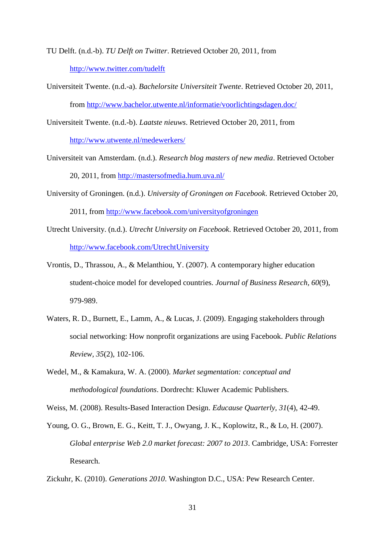<span id="page-30-6"></span>TU Delft. (n.d.-b). *TU Delft on Twitter*. Retrieved October 20, 2011, from <http://www.twitter.com/tudelft>

<span id="page-30-10"></span>Universiteit Twente. (n.d.-a). *Bachelorsite Universiteit Twente*. Retrieved October 20, 2011, from<http://www.bachelor.utwente.nl/informatie/voorlichtingsdagen.doc/>

<span id="page-30-5"></span>Universiteit Twente. (n.d.-b). *Laatste nieuws*. Retrieved October 20, 2011, from <http://www.utwente.nl/medewerkers/>

- <span id="page-30-9"></span>Universiteit van Amsterdam. (n.d.). *Research blog masters of new media*. Retrieved October 20, 2011, from<http://mastersofmedia.hum.uva.nl/>
- <span id="page-30-7"></span>University of Groningen. (n.d.). *University of Groningen on Facebook*. Retrieved October 20, 2011, from<http://www.facebook.com/universityofgroningen>
- <span id="page-30-8"></span>Utrecht University. (n.d.). *Utrecht University on Facebook*. Retrieved October 20, 2011, from <http://www.facebook.com/UtrechtUniversity>
- <span id="page-30-2"></span>Vrontis, D., Thrassou, A., & Melanthiou, Y. (2007). A contemporary higher education student-choice model for developed countries. *Journal of Business Research, 60*(9), 979-989.
- <span id="page-30-4"></span>Waters, R. D., Burnett, E., Lamm, A., & Lucas, J. (2009). Engaging stakeholders through social networking: How nonprofit organizations are using Facebook. *Public Relations Review, 35*(2), 102-106.
- <span id="page-30-11"></span>Wedel, M., & Kamakura, W. A. (2000). *Market segmentation: conceptual and methodological foundations*. Dordrecht: Kluwer Academic Publishers.

<span id="page-30-3"></span>Weiss, M. (2008). Results-Based Interaction Design. *Educause Quarterly, 31*(4), 42-49.

<span id="page-30-1"></span>Young, O. G., Brown, E. G., Keitt, T. J., Owyang, J. K., Koplowitz, R., & Lo, H. (2007). *Global enterprise Web 2.0 market forecast: 2007 to 2013*. Cambridge, USA: Forrester Research.

<span id="page-30-0"></span>Zickuhr, K. (2010). *Generations 2010*. Washington D.C., USA: Pew Research Center.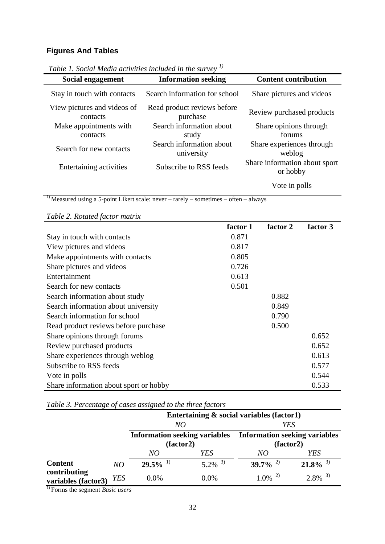# **Figures And Tables**

| Social engagement                       | <b>Information seeking</b>              | <b>Content contribution</b>               |  |
|-----------------------------------------|-----------------------------------------|-------------------------------------------|--|
| Stay in touch with contacts             | Search information for school           | Share pictures and videos                 |  |
| View pictures and videos of<br>contacts | Read product reviews before<br>purchase | Review purchased products                 |  |
| Make appointments with<br>contacts      | Search information about<br>study       | Share opinions through<br>forums          |  |
| Search for new contacts                 | Search information about<br>university  | Share experiences through<br>weblog       |  |
| Entertaining activities                 | Subscribe to RSS feeds                  | Share information about sport<br>or hobby |  |
|                                         |                                         | Vote in polls                             |  |

*Table 1. Social Media activities included in the survey 1)*

<sup>1)</sup> Measured using a 5-point Likert scale: never – rarely – sometimes – often – always

|                                        | factor 1 | factor 2 | factor 3 |
|----------------------------------------|----------|----------|----------|
| Stay in touch with contacts            | 0.871    |          |          |
| View pictures and videos               | 0.817    |          |          |
| Make appointments with contacts        | 0.805    |          |          |
| Share pictures and videos              | 0.726    |          |          |
| Entertainment                          | 0.613    |          |          |
| Search for new contacts                | 0.501    |          |          |
| Search information about study         |          | 0.882    |          |
| Search information about university    |          | 0.849    |          |
| Search information for school          |          | 0.790    |          |
| Read product reviews before purchase   |          | 0.500    |          |
| Share opinions through forums          |          |          | 0.652    |
| Review purchased products              |          |          | 0.652    |
| Share experiences through weblog       |          |          | 0.613    |
| Subscribe to RSS feeds                 |          |          | 0.577    |
| Vote in polls                          |          |          | 0.544    |
| Share information about sport or hobby |          |          | 0.533    |

*Table 3. Percentage of cases assigned to the three factors*

|                                                       |            | Entertaining $\&$ social variables (factor1) |                       |                                      |                        |  |
|-------------------------------------------------------|------------|----------------------------------------------|-----------------------|--------------------------------------|------------------------|--|
|                                                       |            | NO                                           |                       | YES                                  |                        |  |
|                                                       |            | <b>Information seeking variables</b>         |                       | <b>Information seeking variables</b> |                        |  |
|                                                       |            | (factor2)                                    |                       | (factor2)                            |                        |  |
|                                                       |            | NO                                           | YES                   | NO                                   | YES                    |  |
| <b>Content</b><br>contributing<br>variables (factor3) | NO         | $29.5\%$ <sup>1)</sup>                       | $5.2\%$ <sup>3)</sup> | $39.7\%$ <sup>2)</sup>               | $21.8\%$ <sup>3)</sup> |  |
|                                                       | <b>YES</b> | $0.0\%$                                      | 0.0%                  | $1.0\%$ <sup>2)</sup>                | $2.8\%$ <sup>3)</sup>  |  |

1) Forms the segment *Basic users*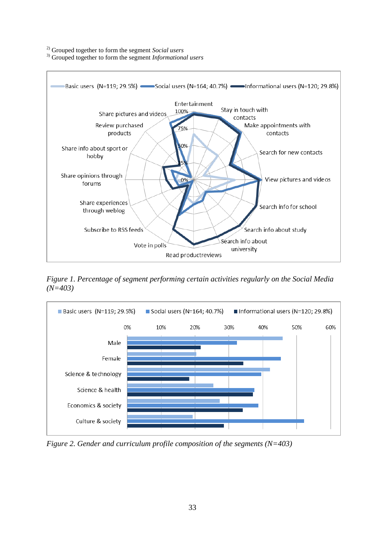2) Grouped together to form the segment *Social users*

3) Grouped together to form the segment *Informational users*



*Figure 1. Percentage of segment performing certain activities regularly on the Social Media (N=403)*



*Figure 2. Gender and curriculum profile composition of the segments (N=403)*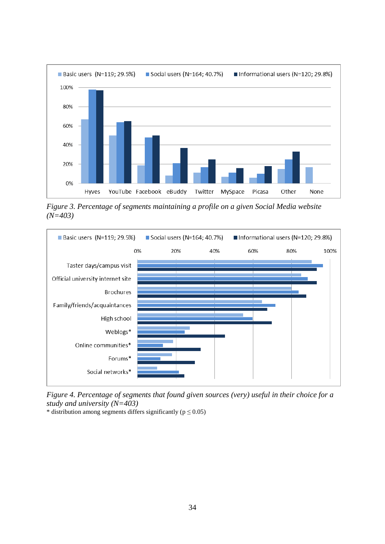

*Figure 3. Percentage of segments maintaining a profile on a given Social Media website (N=403)*



*Figure 4. Percentage of segments that found given sources (very) useful in their choice for a study and university (N=403)*

\* distribution among segments differs significantly ( $p \le 0.05$ )